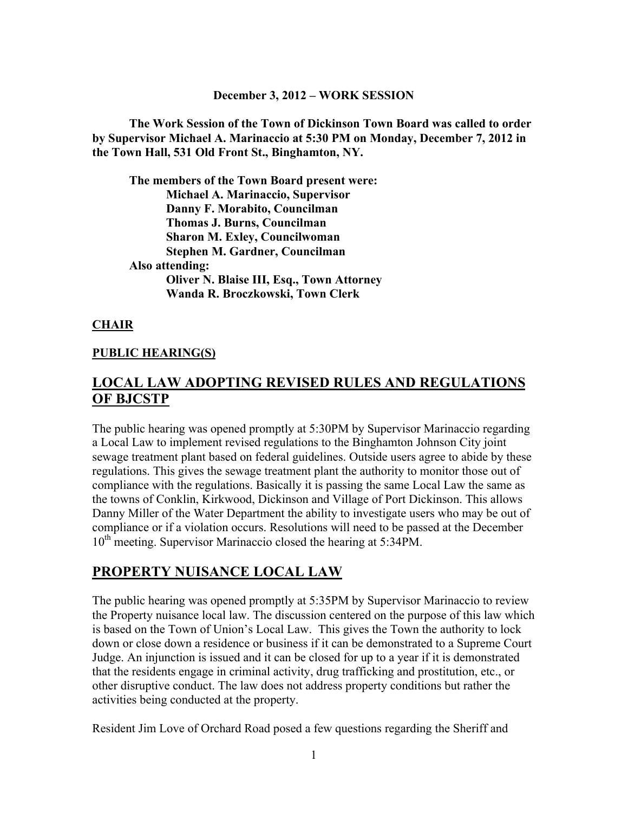#### **December 3, 2012 – WORK SESSION**

**The Work Session of the Town of Dickinson Town Board was called to order by Supervisor Michael A. Marinaccio at 5:30 PM on Monday, December 7, 2012 in the Town Hall, 531 Old Front St., Binghamton, NY.**

**The members of the Town Board present were: Michael A. Marinaccio, Supervisor Danny F. Morabito, Councilman Thomas J. Burns, Councilman Sharon M. Exley, Councilwoman Stephen M. Gardner, Councilman Also attending: Oliver N. Blaise III, Esq., Town Attorney Wanda R. Broczkowski, Town Clerk**

#### **CHAIR**

#### **PUBLIC HEARING(S)**

#### **LOCAL LAW ADOPTING REVISED RULES AND REGULATIONS OF BJCSTP**

The public hearing was opened promptly at 5:30PM by Supervisor Marinaccio regarding a Local Law to implement revised regulations to the Binghamton Johnson City joint sewage treatment plant based on federal guidelines. Outside users agree to abide by these regulations. This gives the sewage treatment plant the authority to monitor those out of compliance with the regulations. Basically it is passing the same Local Law the same as the towns of Conklin, Kirkwood, Dickinson and Village of Port Dickinson. This allows Danny Miller of the Water Department the ability to investigate users who may be out of compliance or if a violation occurs. Resolutions will need to be passed at the December 10<sup>th</sup> meeting. Supervisor Marinaccio closed the hearing at 5:34PM.

### **PROPERTY NUISANCE LOCAL LAW**

The public hearing was opened promptly at 5:35PM by Supervisor Marinaccio to review the Property nuisance local law. The discussion centered on the purpose of this law which is based on the Town of Union's Local Law. This gives the Town the authority to lock down or close down a residence or business if it can be demonstrated to a Supreme Court Judge. An injunction is issued and it can be closed for up to a year if it is demonstrated that the residents engage in criminal activity, drug trafficking and prostitution, etc., or other disruptive conduct. The law does not address property conditions but rather the activities being conducted at the property.

Resident Jim Love of Orchard Road posed a few questions regarding the Sheriff and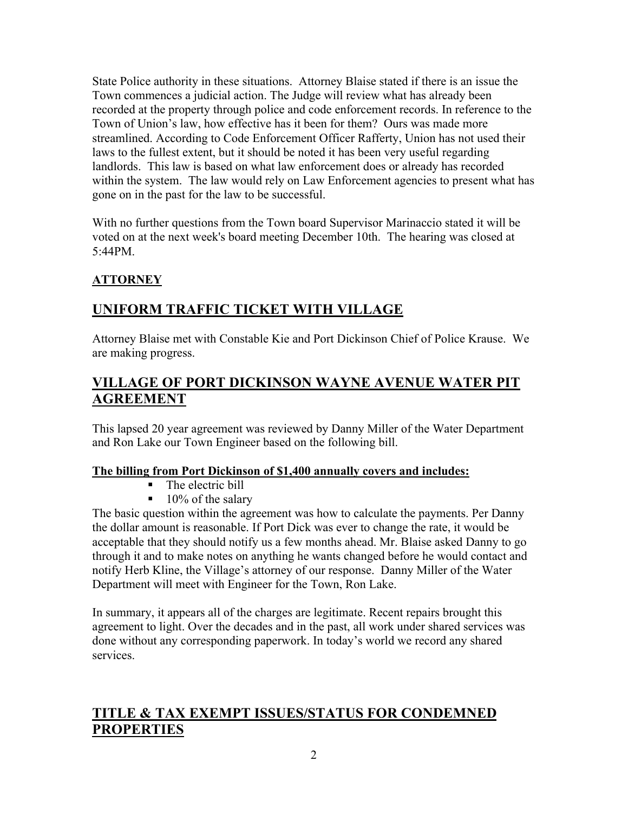State Police authority in these situations. Attorney Blaise stated if there is an issue the Town commences a judicial action. The Judge will review what has already been recorded at the property through police and code enforcement records. In reference to the Town of Union's law, how effective has it been for them? Ours was made more streamlined. According to Code Enforcement Officer Rafferty, Union has not used their laws to the fullest extent, but it should be noted it has been very useful regarding landlords. This law is based on what law enforcement does or already has recorded within the system. The law would rely on Law Enforcement agencies to present what has gone on in the past for the law to be successful.

With no further questions from the Town board Supervisor Marinaccio stated it will be voted on at the next week's board meeting December 10th. The hearing was closed at 5:44PM.

### **ATTORNEY**

# **UNIFORM TRAFFIC TICKET WITH VILLAGE**

Attorney Blaise met with Constable Kie and Port Dickinson Chief of Police Krause. We are making progress.

### **VILLAGE OF PORT DICKINSON WAYNE AVENUE WATER PIT AGREEMENT**

This lapsed 20 year agreement was reviewed by Danny Miller of the Water Department and Ron Lake our Town Engineer based on the following bill.

#### **The billing from Port Dickinson of \$1,400 annually covers and includes:**

- $\blacksquare$  The electric bill
- $\blacksquare$  10% of the salary

The basic question within the agreement was how to calculate the payments. Per Danny the dollar amount is reasonable. If Port Dick was ever to change the rate, it would be acceptable that they should notify us a few months ahead. Mr. Blaise asked Danny to go through it and to make notes on anything he wants changed before he would contact and notify Herb Kline, the Village's attorney of our response. Danny Miller of the Water Department will meet with Engineer for the Town, Ron Lake.

In summary, it appears all of the charges are legitimate. Recent repairs brought this agreement to light. Over the decades and in the past, all work under shared services was done without any corresponding paperwork. In today's world we record any shared services.

# **TITLE & TAX EXEMPT ISSUES/STATUS FOR CONDEMNED PROPERTIES**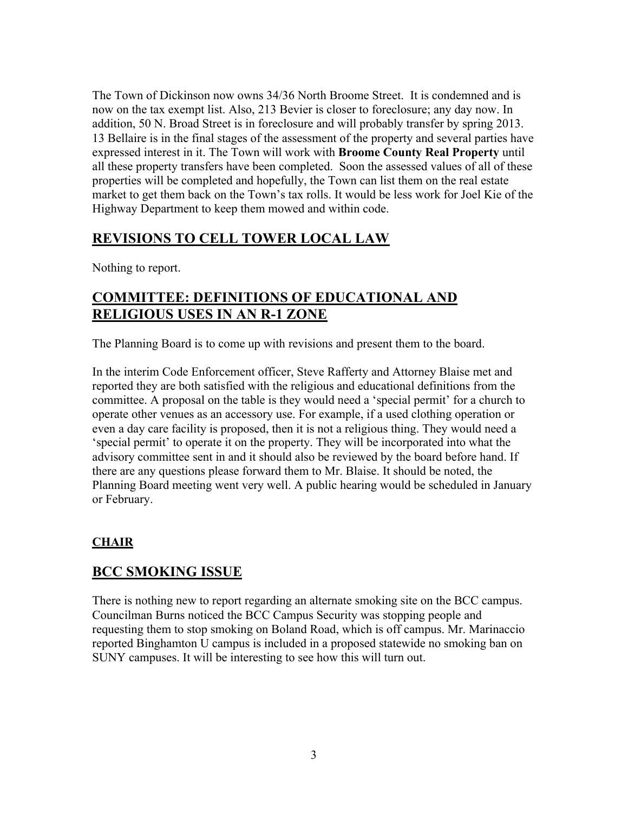The Town of Dickinson now owns 34/36 North Broome Street. It is condemned and is now on the tax exempt list. Also, 213 Bevier is closer to foreclosure; any day now. In addition, 50 N. Broad Street is in foreclosure and will probably transfer by spring 2013. 13 Bellaire is in the final stages of the assessment of the property and several parties have expressed interest in it. The Town will work with **Broome County Real Property** until all these property transfers have been completed. Soon the assessed values of all of these properties will be completed and hopefully, the Town can list them on the real estate market to get them back on the Town's tax rolls. It would be less work for Joel Kie of the Highway Department to keep them mowed and within code.

### **REVISIONS TO CELL TOWER LOCAL LAW**

Nothing to report.

# **COMMITTEE: DEFINITIONS OF EDUCATIONAL AND RELIGIOUS USES IN AN R-1 ZONE**

The Planning Board is to come up with revisions and present them to the board.

In the interim Code Enforcement officer, Steve Rafferty and Attorney Blaise met and reported they are both satisfied with the religious and educational definitions from the committee. A proposal on the table is they would need a 'special permit' for a church to operate other venues as an accessory use. For example, if a used clothing operation or even a day care facility is proposed, then it is not a religious thing. They would need a 'special permit' to operate it on the property. They will be incorporated into what the advisory committee sent in and it should also be reviewed by the board before hand. If there are any questions please forward them to Mr. Blaise. It should be noted, the Planning Board meeting went very well. A public hearing would be scheduled in January or February.

### **CHAIR**

## **BCC SMOKING ISSUE**

There is nothing new to report regarding an alternate smoking site on the BCC campus. Councilman Burns noticed the BCC Campus Security was stopping people and requesting them to stop smoking on Boland Road, which is off campus. Mr. Marinaccio reported Binghamton U campus is included in a proposed statewide no smoking ban on SUNY campuses. It will be interesting to see how this will turn out.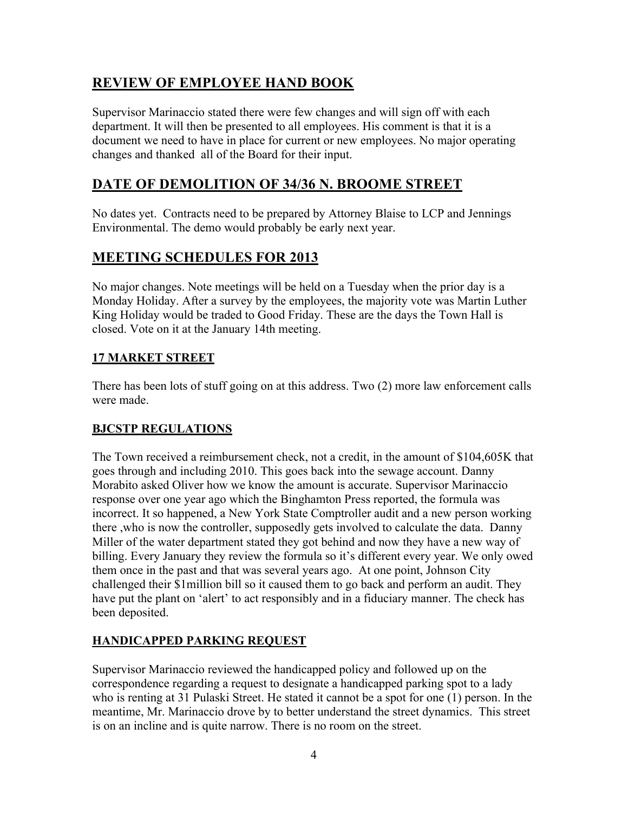## **REVIEW OF EMPLOYEE HAND BOOK**

Supervisor Marinaccio stated there were few changes and will sign off with each department. It will then be presented to all employees. His comment is that it is a document we need to have in place for current or new employees. No major operating changes and thanked all of the Board for their input.

### **DATE OF DEMOLITION OF 34/36 N. BROOME STREET**

No dates yet. Contracts need to be prepared by Attorney Blaise to LCP and Jennings Environmental. The demo would probably be early next year.

## **MEETING SCHEDULES FOR 2013**

No major changes. Note meetings will be held on a Tuesday when the prior day is a Monday Holiday. After a survey by the employees, the majority vote was Martin Luther King Holiday would be traded to Good Friday. These are the days the Town Hall is closed. Vote on it at the January 14th meeting.

#### **17 MARKET STREET**

There has been lots of stuff going on at this address. Two (2) more law enforcement calls were made.

### **BJCSTP REGULATIONS**

The Town received a reimbursement check, not a credit, in the amount of \$104,605K that goes through and including 2010. This goes back into the sewage account. Danny Morabito asked Oliver how we know the amount is accurate. Supervisor Marinaccio response over one year ago which the Binghamton Press reported, the formula was incorrect. It so happened, a New York State Comptroller audit and a new person working there ,who is now the controller, supposedly gets involved to calculate the data. Danny Miller of the water department stated they got behind and now they have a new way of billing. Every January they review the formula so it's different every year. We only owed them once in the past and that was several years ago. At one point, Johnson City challenged their \$1million bill so it caused them to go back and perform an audit. They have put the plant on 'alert' to act responsibly and in a fiduciary manner. The check has been deposited.

### **HANDICAPPED PARKING REQUEST**

Supervisor Marinaccio reviewed the handicapped policy and followed up on the correspondence regarding a request to designate a handicapped parking spot to a lady who is renting at 31 Pulaski Street. He stated it cannot be a spot for one (1) person. In the meantime, Mr. Marinaccio drove by to better understand the street dynamics. This street is on an incline and is quite narrow. There is no room on the street.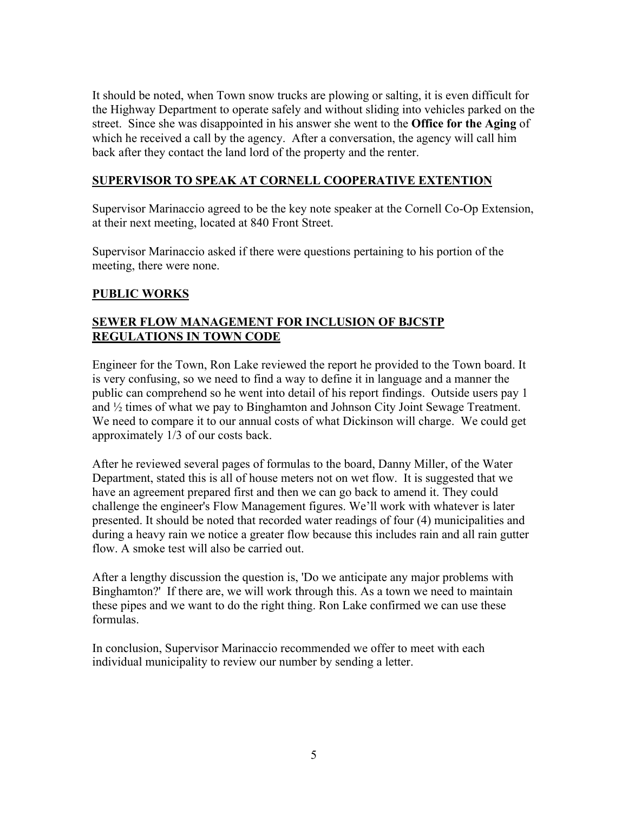It should be noted, when Town snow trucks are plowing or salting, it is even difficult for the Highway Department to operate safely and without sliding into vehicles parked on the street. Since she was disappointed in his answer she went to the **Office for the Aging** of which he received a call by the agency. After a conversation, the agency will call him back after they contact the land lord of the property and the renter.

#### **SUPERVISOR TO SPEAK AT CORNELL COOPERATIVE EXTENTION**

Supervisor Marinaccio agreed to be the key note speaker at the Cornell Co-Op Extension, at their next meeting, located at 840 Front Street.

Supervisor Marinaccio asked if there were questions pertaining to his portion of the meeting, there were none.

#### **PUBLIC WORKS**

#### **SEWER FLOW MANAGEMENT FOR INCLUSION OF BJCSTP REGULATIONS IN TOWN CODE**

Engineer for the Town, Ron Lake reviewed the report he provided to the Town board. It is very confusing, so we need to find a way to define it in language and a manner the public can comprehend so he went into detail of his report findings. Outside users pay 1 and ½ times of what we pay to Binghamton and Johnson City Joint Sewage Treatment. We need to compare it to our annual costs of what Dickinson will charge. We could get approximately 1/3 of our costs back.

After he reviewed several pages of formulas to the board, Danny Miller, of the Water Department, stated this is all of house meters not on wet flow. It is suggested that we have an agreement prepared first and then we can go back to amend it. They could challenge the engineer's Flow Management figures. We'll work with whatever is later presented. It should be noted that recorded water readings of four (4) municipalities and during a heavy rain we notice a greater flow because this includes rain and all rain gutter flow. A smoke test will also be carried out.

After a lengthy discussion the question is, 'Do we anticipate any major problems with Binghamton?' If there are, we will work through this. As a town we need to maintain these pipes and we want to do the right thing. Ron Lake confirmed we can use these formulas.

In conclusion, Supervisor Marinaccio recommended we offer to meet with each individual municipality to review our number by sending a letter.